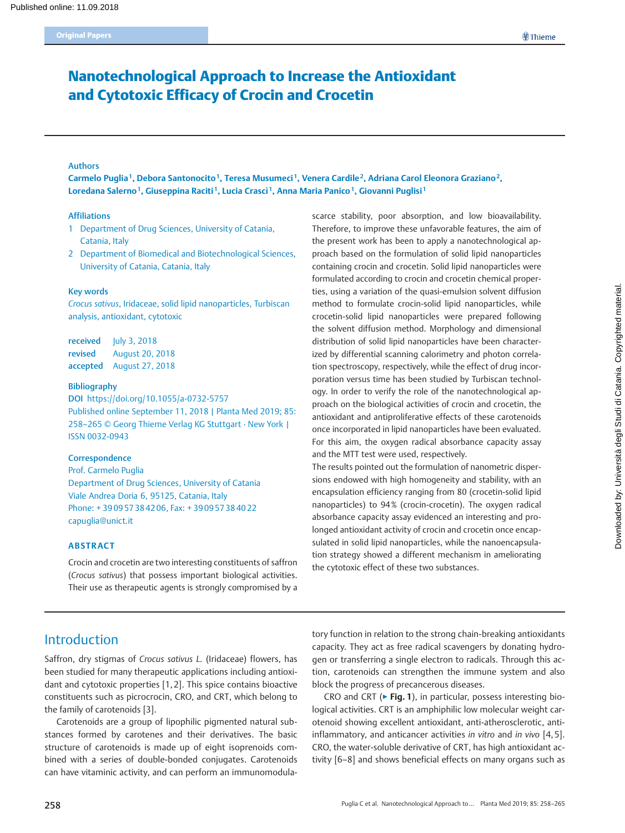# Nanotechnological Approach to Increase the Antioxidant and Cytotoxic Efficacy of Crocin and Crocetin

#### Authors

Carmelo Puglia<sup>1</sup>, Debora Santonocito<sup>1</sup>, Teresa Musumeci<sup>1</sup>, Venera Cardile<sup>2</sup>, Adriana Carol Eleonora Graziano<sup>2</sup>, Loredana Salerno<sup>1</sup>, Giuseppina Raciti<sup>1</sup>, Lucia Crascì<sup>1</sup>, Anna Maria Panico<sup>1</sup>, Giovanni Puglisi<sup>1</sup>

#### Affiliations

- 1 Department of Drug Sciences, University of Catania, Catania, Italy
- 2 Department of Biomedical and Biotechnological Sciences, University of Catania, Catania, Italy

#### Key words

Crocus sativus, Iridaceae, solid lipid nanoparticles, Turbiscan analysis, antioxidant, cytotoxic

received July 3, 2018 revised August 20, 2018 accepted August 27, 2018

#### Bibliography

DOI https://doi.org/10.1055/a-0732-5757 Published online September 11, 2018 | Planta Med 2019; 85: 258–265 © Georg Thieme Verlag KG Stuttgart · New York | ISSN 0032‑0943

#### **Correspondence**

Prof. Carmelo Puglia Department of Drug Sciences, University of Catania Viale Andrea Doria 6, 95125, Catania, Italy Phone: + 39 09 57 38 42 06, Fax: + 39 09 57 38 40 22 capuglia@unict.it

#### ABSTRACT

Crocin and crocetin are two interesting constituents of saffron (Crocus sativus) that possess important biological activities. Their use as therapeutic agents is strongly compromised by a

scarce stability, poor absorption, and low bioavailability. Therefore, to improve these unfavorable features, the aim of the present work has been to apply a nanotechnological approach based on the formulation of solid lipid nanoparticles containing crocin and crocetin. Solid lipid nanoparticles were formulated according to crocin and crocetin chemical properties, using a variation of the quasi-emulsion solvent diffusion method to formulate crocin-solid lipid nanoparticles, while crocetin-solid lipid nanoparticles were prepared following the solvent diffusion method. Morphology and dimensional distribution of solid lipid nanoparticles have been characterized by differential scanning calorimetry and photon correlation spectroscopy, respectively, while the effect of drug incorporation versus time has been studied by Turbiscan technology. In order to verify the role of the nanotechnological approach on the biological activities of crocin and crocetin, the antioxidant and antiproliferative effects of these carotenoids once incorporated in lipid nanoparticles have been evaluated. For this aim, the oxygen radical absorbance capacity assay and the MTT test were used, respectively.

The results pointed out the formulation of nanometric dispersions endowed with high homogeneity and stability, with an encapsulation efficiency ranging from 80 (crocetin-solid lipid nanoparticles) to 94% (crocin-crocetin). The oxygen radical absorbance capacity assay evidenced an interesting and prolonged antioxidant activity of crocin and crocetin once encapsulated in solid lipid nanoparticles, while the nanoencapsulation strategy showed a different mechanism in ameliorating the cytotoxic effect of these two substances.

Downloaded by: Università degli Studi di Catania. Copyrighted material.

Downloaded by: Università degli Studi di Catania. Copyrighted material.

## Introduction

Saffron, dry stigmas of Crocus sativus L. (Iridaceae) flowers, has been studied for many therapeutic applications including antioxidant and cytotoxic properties [1, 2]. This spice contains bioactive constituents such as picrocrocin, CRO, and CRT, which belong to the family of carotenoids [3].

Carotenoids are a group of lipophilic pigmented natural substances formed by carotenes and their derivatives. The basic structure of carotenoids is made up of eight isoprenoids combined with a series of double-bonded conjugates. Carotenoids can have vitaminic activity, and can perform an immunomodulatory function in relation to the strong chain-breaking antioxidants capacity. They act as free radical scavengers by donating hydrogen or transferring a single electron to radicals. Through this action, carotenoids can strengthen the immune system and also block the progress of precancerous diseases.

CRO and CRT ( $\triangleright$  Fig. 1), in particular, possess interesting biological activities. CRT is an amphiphilic low molecular weight carotenoid showing excellent antioxidant, anti-atherosclerotic, antiinflammatory, and anticancer activities in vitro and in vivo [4, 5]. CRO, the water-soluble derivative of CRT, has high antioxidant activity [6–8] and shows beneficial effects on many organs such as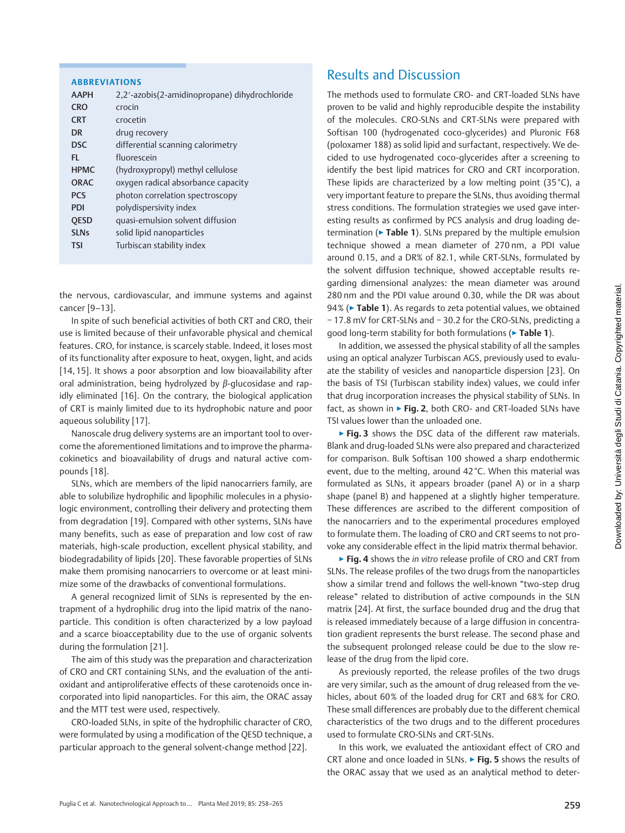| ---- -- --- --                                       |  |
|------------------------------------------------------|--|
|                                                      |  |
|                                                      |  |
|                                                      |  |
| <br> <br> <br> <br> <br>                             |  |
|                                                      |  |
|                                                      |  |
|                                                      |  |
|                                                      |  |
|                                                      |  |
|                                                      |  |
|                                                      |  |
|                                                      |  |
|                                                      |  |
|                                                      |  |
| u<br>∏<br>F                                          |  |
|                                                      |  |
|                                                      |  |
|                                                      |  |
|                                                      |  |
|                                                      |  |
|                                                      |  |
|                                                      |  |
|                                                      |  |
|                                                      |  |
|                                                      |  |
|                                                      |  |
|                                                      |  |
| produced in the control in the second r<br>さこくて くきくき |  |
|                                                      |  |
|                                                      |  |
|                                                      |  |
|                                                      |  |
|                                                      |  |
| $\frac{1}{2}$                                        |  |
|                                                      |  |
|                                                      |  |
| $\frac{1}{2}$<br>$\ddot{ }$                          |  |
|                                                      |  |
|                                                      |  |
|                                                      |  |
|                                                      |  |
|                                                      |  |
|                                                      |  |
|                                                      |  |
|                                                      |  |
|                                                      |  |
|                                                      |  |
|                                                      |  |
| $\frac{1}{2}$                                        |  |
|                                                      |  |
|                                                      |  |
|                                                      |  |
|                                                      |  |
| Cownload<br>í                                        |  |

|  | <b>ABBREVIATIONS</b> |  |
|--|----------------------|--|
|  |                      |  |

| <b>AAPH</b> | 2,2'-azobis(2-amidinopropane) dihydrochloride |
|-------------|-----------------------------------------------|
| <b>CRO</b>  | crocin                                        |
| <b>CRT</b>  | crocetin                                      |
| DR          | drug recovery                                 |
| <b>DSC</b>  | differential scanning calorimetry             |
| FI.         | fluorescein                                   |
| <b>HPMC</b> | (hydroxypropyl) methyl cellulose              |
| <b>ORAC</b> | oxygen radical absorbance capacity            |
| <b>PCS</b>  | photon correlation spectroscopy               |
| <b>PDI</b>  | polydispersivity index                        |
| <b>OESD</b> | quasi-emulsion solvent diffusion              |
| <b>SLNs</b> | solid lipid nanoparticles                     |
| <b>TSI</b>  | Turbiscan stability index                     |
|             |                                               |

the nervous, cardiovascular, and immune systems and against cancer [9–13].

In spite of such beneficial activities of both CRT and CRO, their use is limited because of their unfavorable physical and chemical features. CRO, for instance, is scarcely stable. Indeed, it loses most of its functionality after exposure to heat, oxygen, light, and acids [14, 15]. It shows a poor absorption and low bioavailability after oral administration, being hydrolyzed by β-glucosidase and rapidly eliminated [16]. On the contrary, the biological application of CRT is mainly limited due to its hydrophobic nature and poor aqueous solubility [17].

Nanoscale drug delivery systems are an important tool to overcome the aforementioned limitations and to improve the pharmacokinetics and bioavailability of drugs and natural active compounds [18].

SLNs, which are members of the lipid nanocarriers family, are able to solubilize hydrophilic and lipophilic molecules in a physiologic environment, controlling their delivery and protecting them from degradation [19]. Compared with other systems, SLNs have many benefits, such as ease of preparation and low cost of raw materials, high-scale production, excellent physical stability, and biodegradability of lipids [20]. These favorable properties of SLNs make them promising nanocarriers to overcome or at least minimize some of the drawbacks of conventional formulations.

A general recognized limit of SLNs is represented by the entrapment of a hydrophilic drug into the lipid matrix of the nanoparticle. This condition is often characterized by a low payload and a scarce bioacceptability due to the use of organic solvents during the formulation [21].

The aim of this study was the preparation and characterization of CRO and CRT containing SLNs, and the evaluation of the antioxidant and antiproliferative effects of these carotenoids once incorporated into lipid nanoparticles. For this aim, the ORAC assay and the MTT test were used, respectively.

CRO-loaded SLNs, in spite of the hydrophilic character of CRO, were formulated by using a modification of the QESD technique, a particular approach to the general solvent-change method [22].

## Results and Discussion

The methods used to formulate CRO- and CRT-loaded SLNs have proven to be valid and highly reproducible despite the instability of the molecules. CRO-SLNs and CRT-SLNs were prepared with Softisan 100 (hydrogenated coco-glycerides) and Pluronic F68 (poloxamer 188) as solid lipid and surfactant, respectively. We decided to use hydrogenated coco-glycerides after a screening to identify the best lipid matrices for CRO and CRT incorporation. These lipids are characterized by a low melting point (35 °C), a very important feature to prepare the SLNs, thus avoiding thermal stress conditions. The formulation strategies we used gave interesting results as confirmed by PCS analysis and drug loading determination ( $\triangleright$  Table 1). SLNs prepared by the multiple emulsion technique showed a mean diameter of 270 nm, a PDI value around 0.15, and a DR% of 82.1, while CRT-SLNs, formulated by the solvent diffusion technique, showed acceptable results regarding dimensional analyzes: the mean diameter was around 280 nm and the PDI value around 0.30, while the DR was about 94% (► Table 1). As regards to zeta potential values, we obtained − 17.8 mV for CRT-SLNs and − 30.2 for the CRO-SLNs, predicting a good long-term stability for both formulations (▶ Table 1).

In addition, we assessed the physical stability of all the samples using an optical analyzer Turbiscan AGS, previously used to evaluate the stability of vesicles and nanoparticle dispersion [23]. On the basis of TSI (Turbiscan stability index) values, we could infer that drug incorporation increases the physical stability of SLNs. In fact, as shown in  $\triangleright$  Fig. 2, both CRO- and CRT-loaded SLNs have TSI values lower than the unloaded one.

▶ Fig. 3 shows the DSC data of the different raw materials. Blank and drug-loaded SLNs were also prepared and characterized for comparison. Bulk Softisan 100 showed a sharp endothermic event, due to the melting, around 42 °C. When this material was formulated as SLNs, it appears broader (panel A) or in a sharp shape (panel B) and happened at a slightly higher temperature. These differences are ascribed to the different composition of the nanocarriers and to the experimental procedures employed to formulate them. The loading of CRO and CRT seems to not provoke any considerable effect in the lipid matrix thermal behavior.

▶ Fig. 4 shows the in vitro release profile of CRO and CRT from SLNs. The release profiles of the two drugs from the nanoparticles show a similar trend and follows the well-known "two-step drug release" related to distribution of active compounds in the SLN matrix [24]. At first, the surface bounded drug and the drug that is released immediately because of a large diffusion in concentration gradient represents the burst release. The second phase and the subsequent prolonged release could be due to the slow release of the drug from the lipid core.

As previously reported, the release profiles of the two drugs are very similar, such as the amount of drug released from the vehicles, about 60% of the loaded drug for CRT and 68% for CRO. These small differences are probably due to the different chemical characteristics of the two drugs and to the different procedures used to formulate CRO-SLNs and CRT-SLNs.

In this work, we evaluated the antioxidant effect of CRO and CRT alone and once loaded in SLNs.  $\triangleright$  Fig. 5 shows the results of the ORAC assay that we used as an analytical method to deter-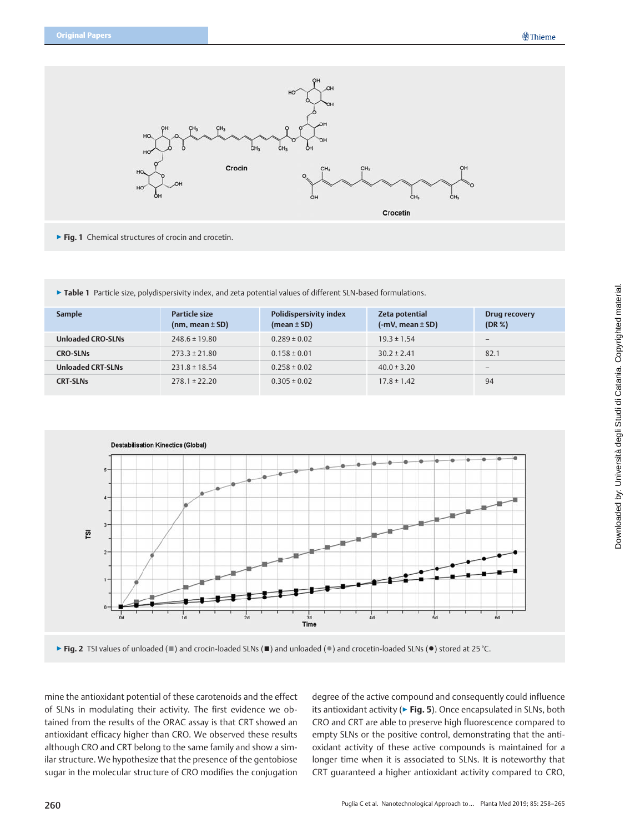

- ▶ Fig. 1 Chemical structures of crocin and crocetin.
- ▶ Table 1 Particle size, polydispersivity index, and zeta potential values of different SLN-based formulations.

| <b>Sample</b>            | Particle size<br>$(nm, mean \pm SD)$ | Polidispersivity index<br>(mean $\pm$ SD) | Zeta potential<br>$(-mV, mean \pm SD)$ | Drug recovery<br>$(DR \%)$ |
|--------------------------|--------------------------------------|-------------------------------------------|----------------------------------------|----------------------------|
| <b>Unloaded CRO-SLNs</b> | $248.6 \pm 19.80$                    | $0.289 \pm 0.02$                          | $19.3 \pm 1.54$                        | $\qquad \qquad -$          |
| <b>CRO-SLNs</b>          | $273.3 \pm 21.80$                    | $0.158 \pm 0.01$                          | $30.2 \pm 2.41$                        | 82.1                       |
| <b>Unloaded CRT-SLNs</b> | $231.8 \pm 18.54$                    | $0.258 \pm 0.02$                          | $40.0 \pm 3.20$                        | $\overline{\phantom{0}}$   |
| <b>CRT-SLNs</b>          | $278.1 \pm 22.20$                    | $0.305 \pm 0.02$                          | $17.8 \pm 1.42$                        | 94                         |



▶ Fig. 2 TSI values of unloaded ( █ ) and crocin-loaded SLNs ( █ ) and unloaded (•) and crocetin-loaded SLNs (•) stored at 25 °C.

mine the antioxidant potential of these carotenoids and the effect of SLNs in modulating their activity. The first evidence we obtained from the results of the ORAC assay is that CRT showed an antioxidant efficacy higher than CRO. We observed these results although CRO and CRT belong to the same family and show a similar structure. We hypothesize that the presence of the gentobiose sugar in the molecular structure of CRO modifies the conjugation

degree of the active compound and consequently could influence its antioxidant activity ( $\triangleright$  Fig. 5). Once encapsulated in SLNs, both CRO and CRT are able to preserve high fluorescence compared to empty SLNs or the positive control, demonstrating that the antioxidant activity of these active compounds is maintained for a longer time when it is associated to SLNs. It is noteworthy that CRT guaranteed a higher antioxidant activity compared to CRO,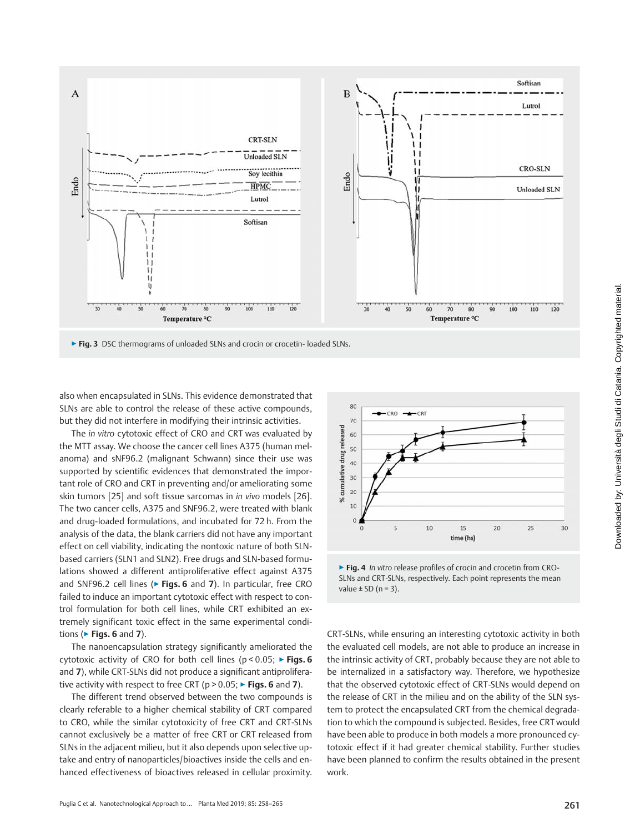

▶ Fig. 3 DSC thermograms of unloaded SLNs and crocin or crocetin- loaded SLNs.

also when encapsulated in SLNs. This evidence demonstrated that SLNs are able to control the release of these active compounds, but they did not interfere in modifying their intrinsic activities.

The in vitro cytotoxic effect of CRO and CRT was evaluated by the MTT assay. We choose the cancer cell lines A375 (human melanoma) and sNF96.2 (malignant Schwann) since their use was supported by scientific evidences that demonstrated the important role of CRO and CRT in preventing and/or ameliorating some skin tumors [25] and soft tissue sarcomas in in vivo models [26]. The two cancer cells, A375 and SNF96.2, were treated with blank and drug-loaded formulations, and incubated for 72 h. From the analysis of the data, the blank carriers did not have any important effect on cell viability, indicating the nontoxic nature of both SLNbased carriers (SLN1 and SLN2). Free drugs and SLN-based formulations showed a different antiproliferative effect against A375 and SNF96.2 cell lines (► Figs. 6 and 7). In particular, free CRO failed to induce an important cytotoxic effect with respect to control formulation for both cell lines, while CRT exhibited an extremely significant toxic effect in the same experimental conditions ( $\blacktriangleright$  Figs. 6 and 7).

The nanoencapsulation strategy significantly ameliorated the cytotoxic activity of CRO for both cell lines ( $p < 0.05$ ;  $\triangleright$  Figs. 6 and 7), while CRT-SLNs did not produce a significant antiproliferative activity with respect to free CRT ( $p > 0.05$ ;  $\triangleright$  Figs. 6 and 7).

The different trend observed between the two compounds is clearly referable to a higher chemical stability of CRT compared to CRO, while the similar cytotoxicity of free CRT and CRT-SLNs cannot exclusively be a matter of free CRT or CRT released from SLNs in the adjacent milieu, but it also depends upon selective uptake and entry of nanoparticles/bioactives inside the cells and enhanced effectiveness of bioactives released in cellular proximity.



▶ Fig. 4 In vitro release profiles of crocin and crocetin from CRO-SLNs and CRT-SLNs, respectively. Each point represents the mean value  $\pm$  SD (n = 3).

CRT-SLNs, while ensuring an interesting cytotoxic activity in both the evaluated cell models, are not able to produce an increase in the intrinsic activity of CRT, probably because they are not able to be internalized in a satisfactory way. Therefore, we hypothesize that the observed cytotoxic effect of CRT-SLNs would depend on the release of CRT in the milieu and on the ability of the SLN system to protect the encapsulated CRT from the chemical degradation to which the compound is subjected. Besides, free CRT would have been able to produce in both models a more pronounced cytotoxic effect if it had greater chemical stability. Further studies have been planned to confirm the results obtained in the present work.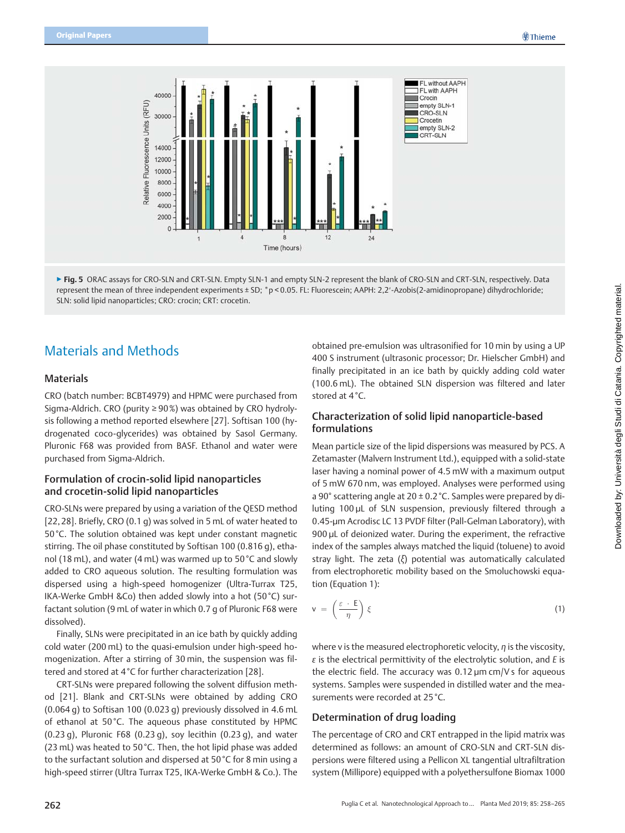

▶ Fig. 5 ORAC assays for CRO-SLN and CRT-SLN. Empty SLN-1 and empty SLN-2 represent the blank of CRO-SLN and CRT-SLN, respectively. Data represent the mean of three independent experiments ± SD; \*p < 0.05. FL: Fluorescein; AAPH: 2,2′-Azobis(2-amidinopropane) dihydrochloride; SLN: solid lipid nanoparticles; CRO: crocin; CRT: crocetin.

## Materials and Methods

### Materials

CRO (batch number: BCBT4979) and HPMC were purchased from Sigma-Aldrich. CRO (purity ≥ 90%) was obtained by CRO hydrolysis following a method reported elsewhere [27]. Softisan 100 (hydrogenated coco-glycerides) was obtained by Sasol Germany. Pluronic F68 was provided from BASF. Ethanol and water were purchased from Sigma-Aldrich.

### Formulation of crocin-solid lipid nanoparticles and crocetin-solid lipid nanoparticles

CRO-SLNs were prepared by using a variation of the QESD method [22, 28]. Briefly, CRO (0.1 g) was solved in 5 mL of water heated to 50 °C. The solution obtained was kept under constant magnetic stirring. The oil phase constituted by Softisan 100 (0.816 g), ethanol (18 mL), and water (4 mL) was warmed up to 50 °C and slowly added to CRO aqueous solution. The resulting formulation was dispersed using a high-speed homogenizer (Ultra-Turrax T25, IKA-Werke GmbH &Co) then added slowly into a hot (50°C) surfactant solution (9 mL of water in which 0.7 g of Pluronic F68 were dissolved).

Finally, SLNs were precipitated in an ice bath by quickly adding cold water (200 mL) to the quasi-emulsion under high-speed homogenization. After a stirring of 30 min, the suspension was filtered and stored at 4 °C for further characterization [28].

CRT-SLNs were prepared following the solvent diffusion method [21]. Blank and CRT-SLNs were obtained by adding CRO (0.064 g) to Softisan 100 (0.023 g) previously dissolved in 4.6 mL of ethanol at 50 °C. The aqueous phase constituted by HPMC (0.23 g), Pluronic F68 (0.23 g), soy lecithin (0.23 g), and water (23 mL) was heated to 50 °C. Then, the hot lipid phase was added to the surfactant solution and dispersed at 50 °C for 8 min using a high-speed stirrer (Ultra Turrax T25, IKA-Werke GmbH & Co.). The

obtained pre-emulsion was ultrasonified for 10 min by using a UP 400 S instrument (ultrasonic processor; Dr. Hielscher GmbH) and finally precipitated in an ice bath by quickly adding cold water (100.6 mL). The obtained SLN dispersion was filtered and later stored at 4 °C.

### Characterization of solid lipid nanoparticle-based formulations

Mean particle size of the lipid dispersions was measured by PCS. A Zetamaster (Malvern Instrument Ltd.), equipped with a solid-state laser having a nominal power of 4.5 mW with a maximum output of 5 mW 670 nm, was employed. Analyses were performed using a 90° scattering angle at 20 ± 0.2 °C. Samples were prepared by diluting 100 µL of SLN suspension, previously filtered through a 0.45-µm Acrodisc LC 13 PVDF filter (Pall-Gelman Laboratory), with 900 µL of deionized water. During the experiment, the refractive index of the samples always matched the liquid (toluene) to avoid stray light. The zeta (ξ) potential was automatically calculated from electrophoretic mobility based on the Smoluchowski equation (Equation 1):

$$
v = \left(\frac{\varepsilon \cdot E}{\eta}\right) \xi \tag{1}
$$

where v is the measured electrophoretic velocity, η is the viscosity,  $\varepsilon$  is the electrical permittivity of the electrolytic solution, and E is the electric field. The accuracy was 0.12 µm cm/V s for aqueous systems. Samples were suspended in distilled water and the measurements were recorded at 25 °C.

#### Determination of drug loading

The percentage of CRO and CRT entrapped in the lipid matrix was determined as follows: an amount of CRO‑SLN and CRT‑SLN dispersions were filtered using a Pellicon XL tangential ultrafiltration system (Millipore) equipped with a polyethersulfone Biomax 1000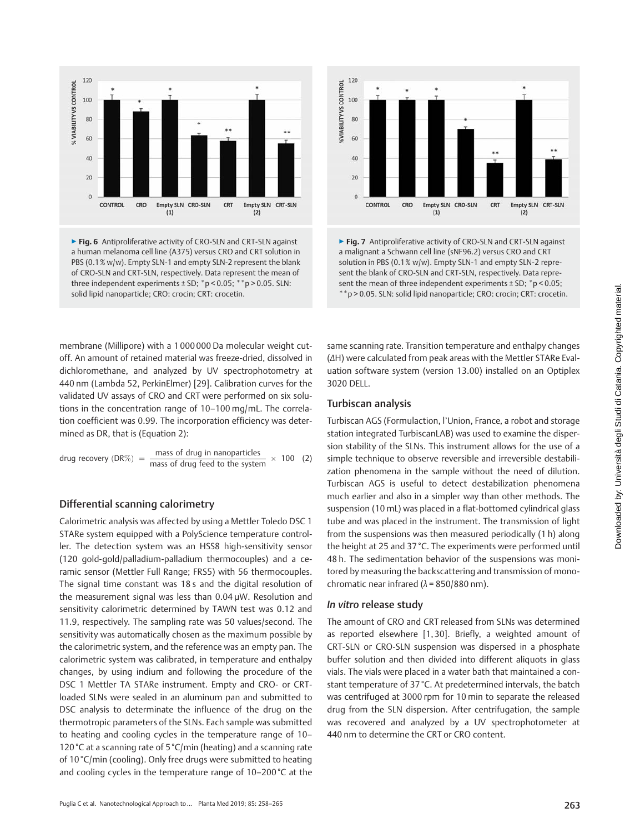

▶ Fig. 6 Antiproliferative activity of CRO-SLN and CRT-SLN against a human melanoma cell line (A375) versus CRO and CRT solution in PBS (0.1% w/w). Empty SLN-1 and empty SLN-2 represent the blank of CRO‑SLN and CRT‑SLN, respectively. Data represent the mean of three independent experiments  $\pm$  SD;  $*$  p < 0.05;  $*$  \* p > 0.05. SLN: solid lipid nanoparticle; CRO: crocin; CRT: crocetin.



▶ Fig. 7 Antiproliferative activity of CRO-SLN and CRT-SLN against a malignant a Schwann cell line (sNF96.2) versus CRO and CRT solution in PBS (0.1% w/w). Empty SLN-1 and empty SLN-2 represent the blank of CRO-SLN and CRT-SLN, respectively. Data represent the mean of three independent experiments  $\pm$  SD;  $*$  p < 0.05; \*\*p > 0.05. SLN: solid lipid nanoparticle; CRO: crocin; CRT: crocetin.

membrane (Millipore) with a 1 000 000 Da molecular weight cutoff. An amount of retained material was freeze-dried, dissolved in dichloromethane, and analyzed by UV spectrophotometry at 440 nm (Lambda 52, PerkinElmer) [29]. Calibration curves for the validated UV assays of CRO and CRT were performed on six solutions in the concentration range of 10–100 mg/mL. The correlation coefficient was 0.99. The incorporation efficiency was determined as DR, that is (Equation 2):

drug recovery (DR%) = 
$$
\frac{\text{mass of drug in nanoparticles}}{\text{mass of drug feed to the system}} \times 100
$$
 (2)

### Differential scanning calorimetry

Calorimetric analysis was affected by using a Mettler Toledo DSC 1 STARe system equipped with a PolyScience temperature controller. The detection system was an HSS8 high-sensitivity sensor (120 gold-gold/palladium-palladium thermocouples) and a ceramic sensor (Mettler Full Range; FRS5) with 56 thermocouples. The signal time constant was 18 s and the digital resolution of the measurement signal was less than 0.04 µW. Resolution and sensitivity calorimetric determined by TAWN test was 0.12 and 11.9, respectively. The sampling rate was 50 values/second. The sensitivity was automatically chosen as the maximum possible by the calorimetric system, and the reference was an empty pan. The calorimetric system was calibrated, in temperature and enthalpy changes, by using indium and following the procedure of the DSC 1 Mettler TA STARe instrument. Empty and CRO- or CRTloaded SLNs were sealed in an aluminum pan and submitted to DSC analysis to determinate the influence of the drug on the thermotropic parameters of the SLNs. Each sample was submitted to heating and cooling cycles in the temperature range of 10– 120 °C at a scanning rate of 5 °C/min (heating) and a scanning rate of 10 °C/min (cooling). Only free drugs were submitted to heating and cooling cycles in the temperature range of 10-200°C at the

same scanning rate. Transition temperature and enthalpy changes (ΔH) were calculated from peak areas with the Mettler STARe Evaluation software system (version 13.00) installed on an Optiplex 3020 DELL.

### Turbiscan analysis

Turbiscan AGS (Formulaction, l'Union, France, a robot and storage station integrated TurbiscanLAB) was used to examine the dispersion stability of the SLNs. This instrument allows for the use of a simple technique to observe reversible and irreversible destabilization phenomena in the sample without the need of dilution. Turbiscan AGS is useful to detect destabilization phenomena much earlier and also in a simpler way than other methods. The suspension (10 mL) was placed in a flat-bottomed cylindrical glass tube and was placed in the instrument. The transmission of light from the suspensions was then measured periodically (1 h) along the height at 25 and 37 °C. The experiments were performed until 48 h. The sedimentation behavior of the suspensions was monitored by measuring the backscattering and transmission of monochromatic near infrared ( $\lambda$  = 850/880 nm).

#### In vitro release study

The amount of CRO and CRT released from SLNs was determined as reported elsewhere [1, 30]. Briefly, a weighted amount of CRT‑SLN or CRO‑SLN suspension was dispersed in a phosphate buffer solution and then divided into different aliquots in glass vials. The vials were placed in a water bath that maintained a constant temperature of 37 °C. At predetermined intervals, the batch was centrifuged at 3000 rpm for 10 min to separate the released drug from the SLN dispersion. After centrifugation, the sample was recovered and analyzed by a UV spectrophotometer at 440 nm to determine the CRT or CRO content.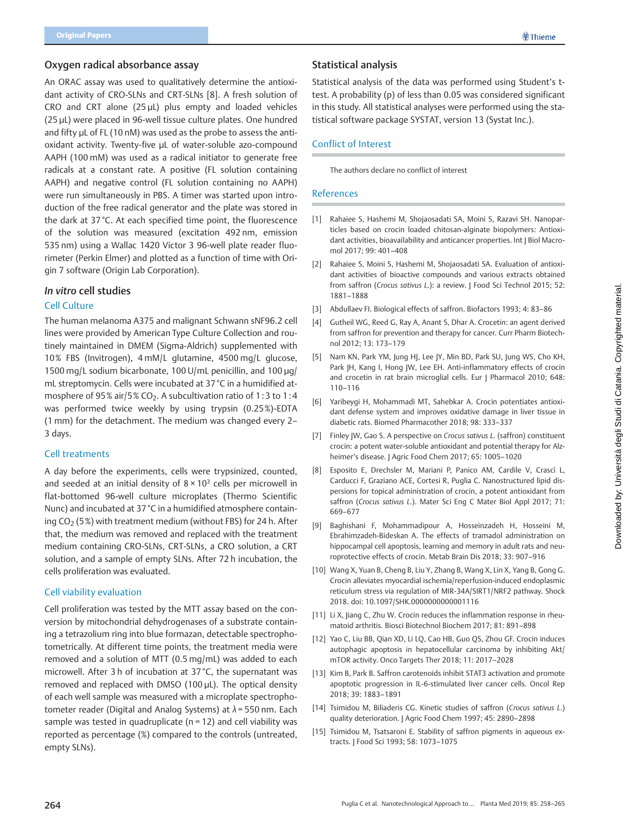### Oxygen radical absorbance assay

An ORAC assay was used to qualitatively determine the antioxidant activity of CRO-SLNs and CRT-SLNs [8]. A fresh solution of CRO and CRT alone (25 µL) plus empty and loaded vehicles (25 µL) were placed in 96-well tissue culture plates. One hundred and fifty uL of FL (10 nM) was used as the probe to assess the antioxidant activity. Twenty-five uL of water-soluble azo-compound AAPH (100 mM) was used as a radical initiator to generate free radicals at a constant rate. A positive (FL solution containing AAPH) and negative control (FL solution containing no AAPH) were run simultaneously in PBS. A timer was started upon introduction of the free radical generator and the plate was stored in the dark at 37 °C. At each specified time point, the fluorescence of the solution was measured (excitation 492 nm, emission 535 nm) using a Wallac 1420 Victor 3 96-well plate reader fluorimeter (Perkin Elmer) and plotted as a function of time with Origin 7 software (Origin Lab Corporation).

#### In vitro cell studies

#### Cell Culture

The human melanoma A375 and malignant Schwann sNF96.2 cell lines were provided by American Type Culture Collection and routinely maintained in DMEM (Sigma-Aldrich) supplemented with 10% FBS (Invitrogen), 4 mM/L glutamine, 4500 mg/L glucose, 1500 mg/L sodium bicarbonate, 100 U/mL penicillin, and 100 µg/ mL streptomycin. Cells were incubated at 37 °C in a humidified atmosphere of 95% air/5%  $CO<sub>2</sub>$ . A subcultivation ratio of 1:3 to 1:4 was performed twice weekly by using trypsin (0.25%)-EDTA (1 mm) for the detachment. The medium was changed every 2– 3 days.

#### Cell treatments

A day before the experiments, cells were trypsinized, counted, and seeded at an initial density of  $8 \times 10^3$  cells per microwell in flat-bottomed 96-well culture microplates (Thermo Scientific Nunc) and incubated at 37 °C in a humidified atmosphere containing  $CO<sub>2</sub>$  (5%) with treatment medium (without FBS) for 24 h. After that, the medium was removed and replaced with the treatment medium containing CRO-SLNs, CRT-SLNs, a CRO solution, a CRT solution, and a sample of empty SLNs. After 72 h incubation, the cells proliferation was evaluated.

#### Cell viability evaluation

Cell proliferation was tested by the MTT assay based on the conversion by mitochondrial dehydrogenases of a substrate containing a tetrazolium ring into blue formazan, detectable spectrophotometrically. At different time points, the treatment media were removed and a solution of MTT (0.5 mg/mL) was added to each microwell. After 3 h of incubation at 37 °C, the supernatant was removed and replaced with DMSO (100 µL). The optical density of each well sample was measured with a microplate spectrophotometer reader (Digital and Analog Systems) at  $\lambda$  = 550 nm. Each sample was tested in quadruplicate ( $n = 12$ ) and cell viability was reported as percentage (%) compared to the controls (untreated, empty SLNs).

## Statistical analysis

Statistical analysis of the data was performed using Student's ttest. A probability (p) of less than 0.05 was considered significant in this study. All statistical analyses were performed using the statistical software package SYSTAT, version 13 (Systat Inc.).

### Conflict of Interest

The authors declare no conflict of interest

#### References

- [1] Rahaiee S, Hashemi M, Shojaosadati SA, Moini S, Razavi SH. Nanoparticles based on crocin loaded chitosan-alginate biopolymers: Antioxidant activities, bioavailability and anticancer properties. Int J Biol Macromol 2017; 99: 401–408
- [2] Rahaiee S, Moini S, Hashemi M, Shojaosadati SA. Evaluation of antioxidant activities of bioactive compounds and various extracts obtained from saffron (Crocus sativus L.): a review. J Food Sci Technol 2015; 52: 1881–1888
- [3] Abdullaev FI. Biological effects of saffron. Biofactors 1993; 4: 83–86
- [4] Gutheil WG, Reed G, Ray A, Anant S, Dhar A. Crocetin: an agent derived from saffron for prevention and therapy for cancer. Curr Pharm Biotechnol 2012; 13: 173–179
- [5] Nam KN, Park YM, Jung HJ, Lee JY, Min BD, Park SU, Jung WS, Cho KH, Park JH, Kang I, Hong JW, Lee EH. Anti-inflammatory effects of crocin and crocetin in rat brain microglial cells. Eur | Pharmacol 2010; 648: 110–116
- [6] Yaribeygi H, Mohammadi MT, Sahebkar A. Crocin potentiates antioxidant defense system and improves oxidative damage in liver tissue in diabetic rats. Biomed Pharmacother 2018; 98: 333–337
- [7] Finley JW, Gao S. A perspective on Crocus sativus L. (saffron) constituent crocin: a potent water-soluble antioxidant and potential therapy for Alzheimer's disease. J Agric Food Chem 2017; 65: 1005–1020
- [8] Esposito E, Drechsler M, Mariani P, Panico AM, Cardile V, Crascì L, Carducci F, Graziano ACE, Cortesi R, Puglia C. Nanostructured lipid dispersions for topical administration of crocin, a potent antioxidant from saffron (Crocus sativus L.). Mater Sci Eng C Mater Biol Appl 2017; 71: 669–677
- [9] Baghishani F, Mohammadipour A, Hosseinzadeh H, Hosseini M, Ebrahimzadeh-Bideskan A. The effects of tramadol administration on hippocampal cell apoptosis, learning and memory in adult rats and neuroprotective effects of crocin. Metab Brain Dis 2018; 33: 907–916
- [10] Wang X, Yuan B, Cheng B, Liu Y, Zhang B, Wang X, Lin X, Yang B, Gong G. Crocin alleviates myocardial ischemia/reperfusion-induced endoplasmic reticulum stress via regulation of MIR‑34A/SIRT1/NRF2 pathway. Shock 2018. doi: 10.1097/SHK.0000000000001116
- [11] Li X, Jiang C, Zhu W. Crocin reduces the inflammation response in rheumatoid arthritis. Biosci Biotechnol Biochem 2017; 81: 891–898
- [12] Yao C, Liu BB, Qian XD, Li LQ, Cao HB, Guo QS, Zhou GF. Crocin induces autophagic apoptosis in hepatocellular carcinoma by inhibiting Akt/ mTOR activity. Onco Targets Ther 2018; 11: 2017–2028
- [13] Kim B, Park B. Saffron carotenoids inhibit STAT3 activation and promote apoptotic progression in IL‑6-stimulated liver cancer cells. Oncol Rep 2018; 39: 1883–1891
- [14] Tsimidou M, Biliaderis CG. Kinetic studies of saffron (Crocus sativus L.) quality deterioration. J Agric Food Chem 1997; 45: 2890–2898
- [15] Tsimidou M, Tsatsaroni E. Stability of saffron pigments in aqueous extracts. J Food Sci 1993; 58: 1073–1075